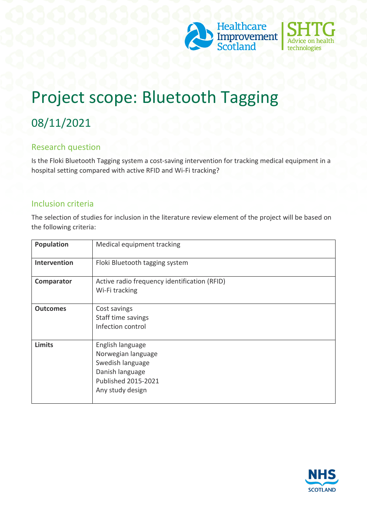



# Project scope: Bluetooth Tagging

# 08/11/2021

#### Research question

Is the Floki Bluetooth Tagging system a cost-saving intervention for tracking medical equipment in a hospital setting compared with active RFID and Wi-Fi tracking?

#### Inclusion criteria

The selection of studies for inclusion in the literature review element of the project will be based on the following criteria:

| Population      | Medical equipment tracking                                                                                                      |
|-----------------|---------------------------------------------------------------------------------------------------------------------------------|
| Intervention    | Floki Bluetooth tagging system                                                                                                  |
| Comparator      | Active radio frequency identification (RFID)<br>Wi-Fi tracking                                                                  |
| <b>Outcomes</b> | Cost savings<br>Staff time savings<br>Infection control                                                                         |
| <b>Limits</b>   | English language<br>Norwegian language<br>Swedish language<br>Danish language<br><b>Published 2015-2021</b><br>Any study design |